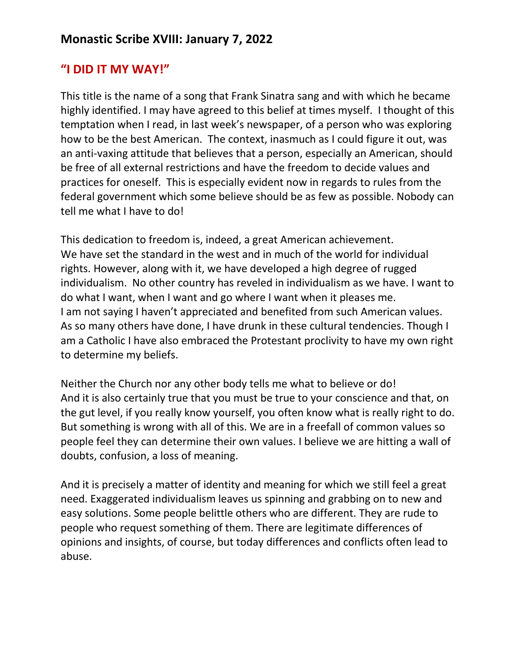## **"I DID IT MY WAY!"**

This title is the name of a song that Frank Sinatra sang and with which he became highly identified. I may have agreed to this belief at times myself. I thought of this temptation when I read, in last week's newspaper, of a person who was exploring how to be the best American. The context, inasmuch as I could figure it out, was an anti-vaxing attitude that believes that a person, especially an American, should be free of all external restrictions and have the freedom to decide values and practices for oneself. This is especially evident now in regards to rules from the federal government which some believe should be as few as possible. Nobody can tell me what I have to do!

This dedication to freedom is, indeed, a great American achievement. We have set the standard in the west and in much of the world for individual rights. However, along with it, we have developed a high degree of rugged individualism. No other country has reveled in individualism as we have. I want to do what I want, when I want and go where I want when it pleases me. I am not saying I haven't appreciated and benefited from such American values. As so many others have done, I have drunk in these cultural tendencies. Though I am a Catholic I have also embraced the Protestant proclivity to have my own right to determine my beliefs.

Neither the Church nor any other body tells me what to believe or do! And it is also certainly true that you must be true to your conscience and that, on the gut level, if you really know yourself, you often know what is really right to do. But something is wrong with all of this. We are in a freefall of common values so people feel they can determine their own values. I believe we are hitting a wall of doubts, confusion, a loss of meaning.

And it is precisely a matter of identity and meaning for which we still feel a great need. Exaggerated individualism leaves us spinning and grabbing on to new and easy solutions. Some people belittle others who are different. They are rude to people who request something of them. There are legitimate differences of opinions and insights, of course, but today differences and conflicts often lead to abuse.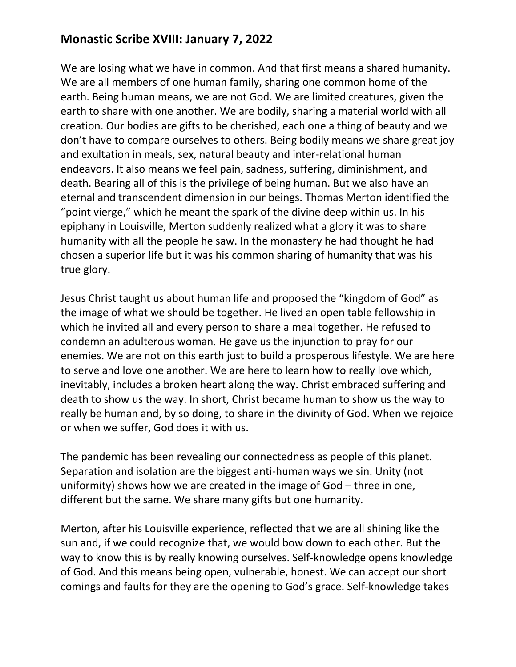## **Monastic Scribe XVIII: January 7, 2022**

We are losing what we have in common. And that first means a shared humanity. We are all members of one human family, sharing one common home of the earth. Being human means, we are not God. We are limited creatures, given the earth to share with one another. We are bodily, sharing a material world with all creation. Our bodies are gifts to be cherished, each one a thing of beauty and we don't have to compare ourselves to others. Being bodily means we share great joy and exultation in meals, sex, natural beauty and inter-relational human endeavors. It also means we feel pain, sadness, suffering, diminishment, and death. Bearing all of this is the privilege of being human. But we also have an eternal and transcendent dimension in our beings. Thomas Merton identified the "point vierge," which he meant the spark of the divine deep within us. In his epiphany in Louisville, Merton suddenly realized what a glory it was to share humanity with all the people he saw. In the monastery he had thought he had chosen a superior life but it was his common sharing of humanity that was his true glory.

Jesus Christ taught us about human life and proposed the "kingdom of God" as the image of what we should be together. He lived an open table fellowship in which he invited all and every person to share a meal together. He refused to condemn an adulterous woman. He gave us the injunction to pray for our enemies. We are not on this earth just to build a prosperous lifestyle. We are here to serve and love one another. We are here to learn how to really love which, inevitably, includes a broken heart along the way. Christ embraced suffering and death to show us the way. In short, Christ became human to show us the way to really be human and, by so doing, to share in the divinity of God. When we rejoice or when we suffer, God does it with us.

The pandemic has been revealing our connectedness as people of this planet. Separation and isolation are the biggest anti-human ways we sin. Unity (not uniformity) shows how we are created in the image of God – three in one, different but the same. We share many gifts but one humanity.

Merton, after his Louisville experience, reflected that we are all shining like the sun and, if we could recognize that, we would bow down to each other. But the way to know this is by really knowing ourselves. Self-knowledge opens knowledge of God. And this means being open, vulnerable, honest. We can accept our short comings and faults for they are the opening to God's grace. Self-knowledge takes